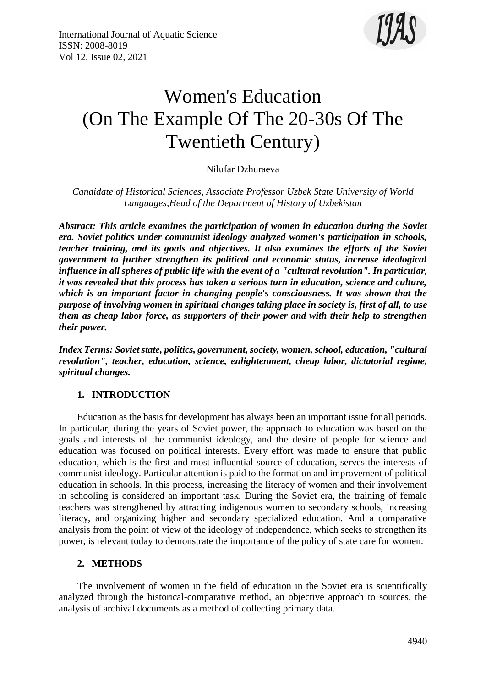

# Women's Education (On The Example Of The 20-30s Of The Twentieth Century)

Nilufar Dzhuraeva

*Candidate of Historical Sciences, Associate Professor Uzbek State University of World Languages,Head of the Department of History of Uzbekistan*

*Abstract: This article examines the participation of women in education during the Soviet era. Soviet politics under communist ideology analyzed women's participation in schools, teacher training, and its goals and objectives. It also examines the efforts of the Soviet government to further strengthen its political and economic status, increase ideological influence in all spheres of public life with the event of a "cultural revolution". In particular, it was revealed that this process has taken a serious turn in education, science and culture, which is an important factor in changing people's consciousness. It was shown that the purpose of involving women in spiritual changes taking place in society is, first of all, to use them as cheap labor force, as supporters of their power and with their help to strengthen their power.*

*Index Terms: Soviet state, politics, government, society, women, school, education, "cultural revolution", teacher, education, science, enlightenment, cheap labor, dictatorial regime, spiritual changes.*

# **1. INTRODUCTION**

Education as the basis for development has always been an important issue for all periods. In particular, during the years of Soviet power, the approach to education was based on the goals and interests of the communist ideology, and the desire of people for science and education was focused on political interests. Every effort was made to ensure that public education, which is the first and most influential source of education, serves the interests of communist ideology. Particular attention is paid to the formation and improvement of political education in schools. In this process, increasing the literacy of women and their involvement in schooling is considered an important task. During the Soviet era, the training of female teachers was strengthened by attracting indigenous women to secondary schools, increasing literacy, and organizing higher and secondary specialized education. And a comparative analysis from the point of view of the ideology of independence, which seeks to strengthen its power, is relevant today to demonstrate the importance of the policy of state care for women.

### **2. METHODS**

The involvement of women in the field of education in the Soviet era is scientifically analyzed through the historical-comparative method, an objective approach to sources, the analysis of archival documents as a method of collecting primary data.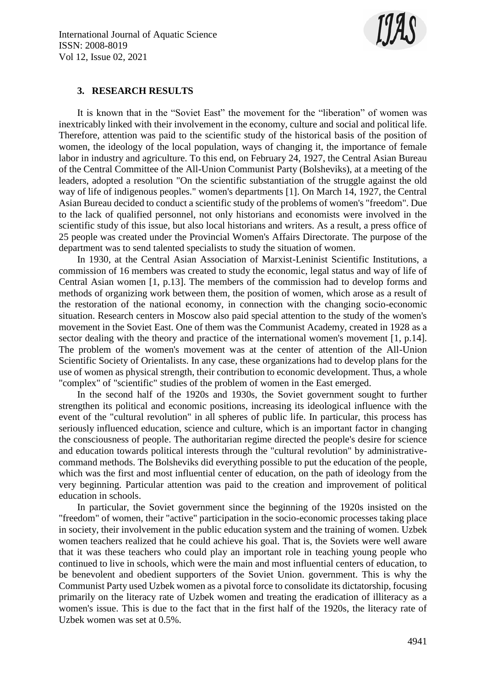

## **3. RESEARCH RESULTS**

It is known that in the "Soviet East" the movement for the "liberation" of women was inextricably linked with their involvement in the economy, culture and social and political life. Therefore, attention was paid to the scientific study of the historical basis of the position of women, the ideology of the local population, ways of changing it, the importance of female labor in industry and agriculture. To this end, on February 24, 1927, the Central Asian Bureau of the Central Committee of the All-Union Communist Party (Bolsheviks), at a meeting of the leaders, adopted a resolution "On the scientific substantiation of the struggle against the old way of life of indigenous peoples." women's departments [1]. On March 14, 1927, the Central Asian Bureau decided to conduct a scientific study of the problems of women's "freedom". Due to the lack of qualified personnel, not only historians and economists were involved in the scientific study of this issue, but also local historians and writers. As a result, a press office of 25 people was created under the Provincial Women's Affairs Directorate. The purpose of the department was to send talented specialists to study the situation of women.

In 1930, at the Central Asian Association of Marxist-Leninist Scientific Institutions, a commission of 16 members was created to study the economic, legal status and way of life of Central Asian women [1, p.13]. The members of the commission had to develop forms and methods of organizing work between them, the position of women, which arose as a result of the restoration of the national economy, in connection with the changing socio-economic situation. Research centers in Moscow also paid special attention to the study of the women's movement in the Soviet East. One of them was the Communist Academy, created in 1928 as a sector dealing with the theory and practice of the international women's movement [1, p.14]. The problem of the women's movement was at the center of attention of the All-Union Scientific Society of Orientalists. In any case, these organizations had to develop plans for the use of women as physical strength, their contribution to economic development. Thus, a whole "complex" of "scientific" studies of the problem of women in the East emerged.

In the second half of the 1920s and 1930s, the Soviet government sought to further strengthen its political and economic positions, increasing its ideological influence with the event of the "cultural revolution" in all spheres of public life. In particular, this process has seriously influenced education, science and culture, which is an important factor in changing the consciousness of people. The authoritarian regime directed the people's desire for science and education towards political interests through the "cultural revolution" by administrativecommand methods. The Bolsheviks did everything possible to put the education of the people, which was the first and most influential center of education, on the path of ideology from the very beginning. Particular attention was paid to the creation and improvement of political education in schools.

In particular, the Soviet government since the beginning of the 1920s insisted on the "freedom" of women, their "active" participation in the socio-economic processes taking place in society, their involvement in the public education system and the training of women. Uzbek women teachers realized that he could achieve his goal. That is, the Soviets were well aware that it was these teachers who could play an important role in teaching young people who continued to live in schools, which were the main and most influential centers of education, to be benevolent and obedient supporters of the Soviet Union. government. This is why the Communist Party used Uzbek women as a pivotal force to consolidate its dictatorship, focusing primarily on the literacy rate of Uzbek women and treating the eradication of illiteracy as a women's issue. This is due to the fact that in the first half of the 1920s, the literacy rate of Uzbek women was set at 0.5%.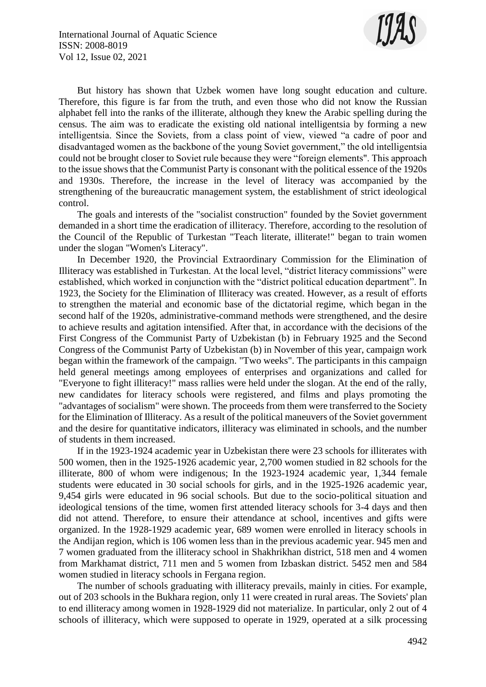

But history has shown that Uzbek women have long sought education and culture. Therefore, this figure is far from the truth, and even those who did not know the Russian alphabet fell into the ranks of the illiterate, although they knew the Arabic spelling during the census. The aim was to eradicate the existing old national intelligentsia by forming a new intelligentsia. Since the Soviets, from a class point of view, viewed "a cadre of poor and disadvantaged women as the backbone of the young Soviet government," the old intelligentsia could not be brought closer to Soviet rule because they were "foreign elements". This approach to the issue shows that the Communist Party is consonant with the political essence of the 1920s and 1930s. Therefore, the increase in the level of literacy was accompanied by the strengthening of the bureaucratic management system, the establishment of strict ideological control.

The goals and interests of the "socialist construction" founded by the Soviet government demanded in a short time the eradication of illiteracy. Therefore, according to the resolution of the Council of the Republic of Turkestan "Teach literate, illiterate!" began to train women under the slogan "Women's Literacy".

In December 1920, the Provincial Extraordinary Commission for the Elimination of Illiteracy was established in Turkestan. At the local level, "district literacy commissions" were established, which worked in conjunction with the "district political education department". In 1923, the Society for the Elimination of Illiteracy was created. However, as a result of efforts to strengthen the material and economic base of the dictatorial regime, which began in the second half of the 1920s, administrative-command methods were strengthened, and the desire to achieve results and agitation intensified. After that, in accordance with the decisions of the First Congress of the Communist Party of Uzbekistan (b) in February 1925 and the Second Congress of the Communist Party of Uzbekistan (b) in November of this year, campaign work began within the framework of the campaign. "Two weeks". The participants in this campaign held general meetings among employees of enterprises and organizations and called for "Everyone to fight illiteracy!" mass rallies were held under the slogan. At the end of the rally, new candidates for literacy schools were registered, and films and plays promoting the "advantages of socialism" were shown. The proceeds from them were transferred to the Society for the Elimination of Illiteracy. As a result of the political maneuvers of the Soviet government and the desire for quantitative indicators, illiteracy was eliminated in schools, and the number of students in them increased.

If in the 1923-1924 academic year in Uzbekistan there were 23 schools for illiterates with 500 women, then in the 1925-1926 academic year, 2,700 women studied in 82 schools for the illiterate, 800 of whom were indigenous; In the 1923-1924 academic year, 1,344 female students were educated in 30 social schools for girls, and in the 1925-1926 academic year, 9,454 girls were educated in 96 social schools. But due to the socio-political situation and ideological tensions of the time, women first attended literacy schools for 3-4 days and then did not attend. Therefore, to ensure their attendance at school, incentives and gifts were organized. In the 1928-1929 academic year, 689 women were enrolled in literacy schools in the Andijan region, which is 106 women less than in the previous academic year. 945 men and 7 women graduated from the illiteracy school in Shakhrikhan district, 518 men and 4 women from Markhamat district, 711 men and 5 women from Izbaskan district. 5452 men and 584 women studied in literacy schools in Fergana region.

The number of schools graduating with illiteracy prevails, mainly in cities. For example, out of 203 schools in the Bukhara region, only 11 were created in rural areas. The Soviets' plan to end illiteracy among women in 1928-1929 did not materialize. In particular, only 2 out of 4 schools of illiteracy, which were supposed to operate in 1929, operated at a silk processing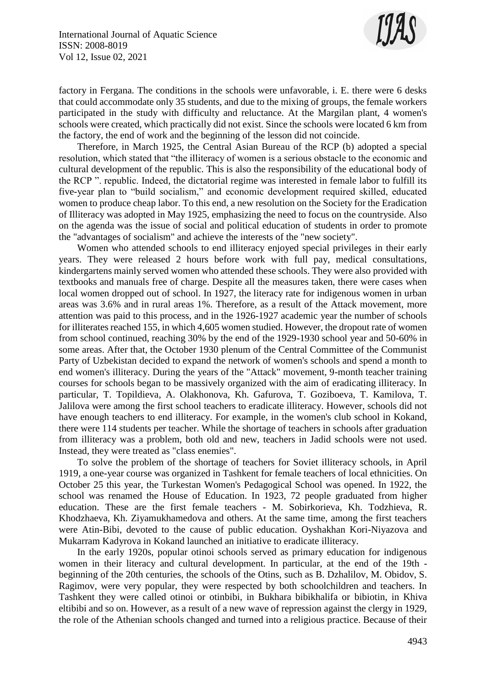

factory in Fergana. The conditions in the schools were unfavorable, i. E. there were 6 desks that could accommodate only 35 students, and due to the mixing of groups, the female workers participated in the study with difficulty and reluctance. At the Margilan plant, 4 women's schools were created, which practically did not exist. Since the schools were located 6 km from the factory, the end of work and the beginning of the lesson did not coincide.

Therefore, in March 1925, the Central Asian Bureau of the RCP (b) adopted a special resolution, which stated that "the illiteracy of women is a serious obstacle to the economic and cultural development of the republic. This is also the responsibility of the educational body of the RCP ". republic. Indeed, the dictatorial regime was interested in female labor to fulfill its five-year plan to "build socialism," and economic development required skilled, educated women to produce cheap labor. To this end, a new resolution on the Society for the Eradication of Illiteracy was adopted in May 1925, emphasizing the need to focus on the countryside. Also on the agenda was the issue of social and political education of students in order to promote the "advantages of socialism" and achieve the interests of the "new society".

Women who attended schools to end illiteracy enjoyed special privileges in their early years. They were released 2 hours before work with full pay, medical consultations, kindergartens mainly served women who attended these schools. They were also provided with textbooks and manuals free of charge. Despite all the measures taken, there were cases when local women dropped out of school. In 1927, the literacy rate for indigenous women in urban areas was 3.6% and in rural areas 1%. Therefore, as a result of the Attack movement, more attention was paid to this process, and in the 1926-1927 academic year the number of schools for illiterates reached 155, in which 4,605 women studied. However, the dropout rate of women from school continued, reaching 30% by the end of the 1929-1930 school year and 50-60% in some areas. After that, the October 1930 plenum of the Central Committee of the Communist Party of Uzbekistan decided to expand the network of women's schools and spend a month to end women's illiteracy. During the years of the "Attack" movement, 9-month teacher training courses for schools began to be massively organized with the aim of eradicating illiteracy. In particular, T. Topildieva, A. Olakhonova, Kh. Gafurova, T. Goziboeva, T. Kamilova, T. Jalilova were among the first school teachers to eradicate illiteracy. However, schools did not have enough teachers to end illiteracy. For example, in the women's club school in Kokand, there were 114 students per teacher. While the shortage of teachers in schools after graduation from illiteracy was a problem, both old and new, teachers in Jadid schools were not used. Instead, they were treated as "class enemies".

To solve the problem of the shortage of teachers for Soviet illiteracy schools, in April 1919, a one-year course was organized in Tashkent for female teachers of local ethnicities. On October 25 this year, the Turkestan Women's Pedagogical School was opened. In 1922, the school was renamed the House of Education. In 1923, 72 people graduated from higher education. These are the first female teachers - M. Sobirkorieva, Kh. Todzhieva, R. Khodzhaeva, Kh. Ziyamukhamedova and others. At the same time, among the first teachers were Atin-Bibi, devoted to the cause of public education. Oyshakhan Kori-Niyazova and Mukarram Kadyrova in Kokand launched an initiative to eradicate illiteracy.

In the early 1920s, popular otinoi schools served as primary education for indigenous women in their literacy and cultural development. In particular, at the end of the 19th beginning of the 20th centuries, the schools of the Otins, such as B. Dzhalilov, M. Obidov, S. Ragimov, were very popular, they were respected by both schoolchildren and teachers. In Tashkent they were called otinoi or otinbibi, in Bukhara bibikhalifa or bibiotin, in Khiva eltibibi and so on. However, as a result of a new wave of repression against the clergy in 1929, the role of the Athenian schools changed and turned into a religious practice. Because of their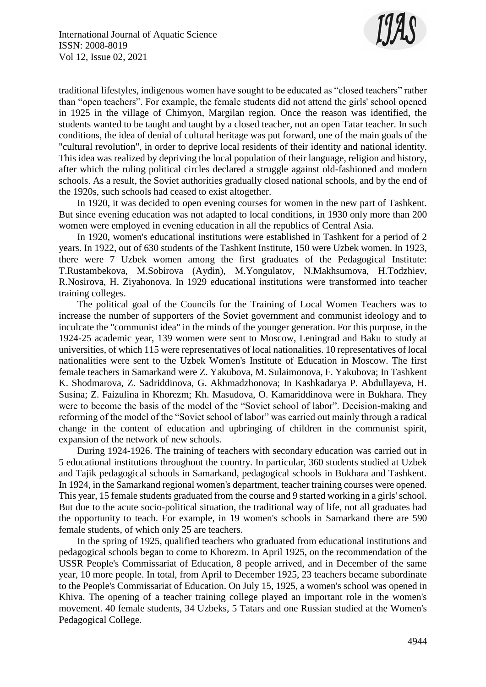

traditional lifestyles, indigenous women have sought to be educated as "closed teachers" rather than "open teachers". For example, the female students did not attend the girls' school opened in 1925 in the village of Chimyon, Margilan region. Once the reason was identified, the students wanted to be taught and taught by a closed teacher, not an open Tatar teacher. In such conditions, the idea of denial of cultural heritage was put forward, one of the main goals of the "cultural revolution", in order to deprive local residents of their identity and national identity. This idea was realized by depriving the local population of their language, religion and history, after which the ruling political circles declared a struggle against old-fashioned and modern schools. As a result, the Soviet authorities gradually closed national schools, and by the end of the 1920s, such schools had ceased to exist altogether.

In 1920, it was decided to open evening courses for women in the new part of Tashkent. But since evening education was not adapted to local conditions, in 1930 only more than 200 women were employed in evening education in all the republics of Central Asia.

In 1920, women's educational institutions were established in Tashkent for a period of 2 years. In 1922, out of 630 students of the Tashkent Institute, 150 were Uzbek women. In 1923, there were 7 Uzbek women among the first graduates of the Pedagogical Institute: T.Rustambekova, M.Sobirova (Aydin), M.Yongulatov, N.Makhsumova, H.Todzhiev, R.Nosirova, H. Ziyahonova. In 1929 educational institutions were transformed into teacher training colleges.

The political goal of the Councils for the Training of Local Women Teachers was to increase the number of supporters of the Soviet government and communist ideology and to inculcate the "communist idea" in the minds of the younger generation. For this purpose, in the 1924-25 academic year, 139 women were sent to Moscow, Leningrad and Baku to study at universities, of which 115 were representatives of local nationalities. 10 representatives of local nationalities were sent to the Uzbek Women's Institute of Education in Moscow. The first female teachers in Samarkand were Z. Yakubova, M. Sulaimonova, F. Yakubova; In Tashkent K. Shodmarova, Z. Sadriddinova, G. Akhmadzhonova; In Kashkadarya P. Abdullayeva, H. Susina; Z. Faizulina in Khorezm; Kh. Masudova, O. Kamariddinova were in Bukhara. They were to become the basis of the model of the "Soviet school of labor". Decision-making and reforming of the model of the "Soviet school of labor" was carried out mainly through a radical change in the content of education and upbringing of children in the communist spirit, expansion of the network of new schools.

During 1924-1926. The training of teachers with secondary education was carried out in 5 educational institutions throughout the country. In particular, 360 students studied at Uzbek and Tajik pedagogical schools in Samarkand, pedagogical schools in Bukhara and Tashkent. In 1924, in the Samarkand regional women's department, teacher training courses were opened. This year, 15 female students graduated from the course and 9 started working in a girls' school. But due to the acute socio-political situation, the traditional way of life, not all graduates had the opportunity to teach. For example, in 19 women's schools in Samarkand there are 590 female students, of which only 25 are teachers.

In the spring of 1925, qualified teachers who graduated from educational institutions and pedagogical schools began to come to Khorezm. In April 1925, on the recommendation of the USSR People's Commissariat of Education, 8 people arrived, and in December of the same year, 10 more people. In total, from April to December 1925, 23 teachers became subordinate to the People's Commissariat of Education. On July 15, 1925, a women's school was opened in Khiva. The opening of a teacher training college played an important role in the women's movement. 40 female students, 34 Uzbeks, 5 Tatars and one Russian studied at the Women's Pedagogical College.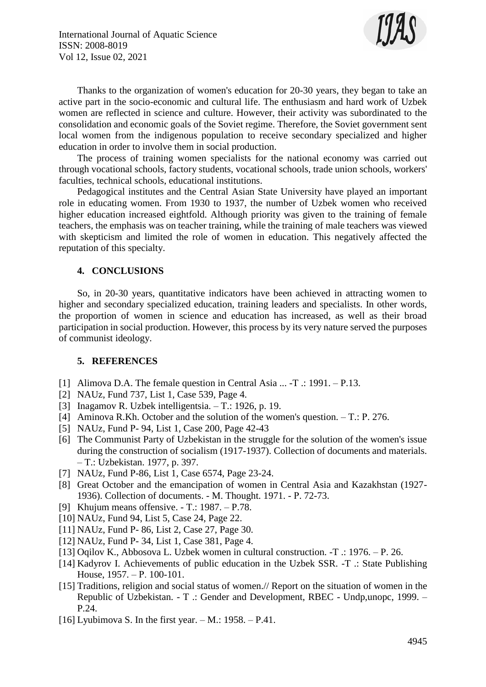

Thanks to the organization of women's education for 20-30 years, they began to take an active part in the socio-economic and cultural life. The enthusiasm and hard work of Uzbek women are reflected in science and culture. However, their activity was subordinated to the consolidation and economic goals of the Soviet regime. Therefore, the Soviet government sent local women from the indigenous population to receive secondary specialized and higher education in order to involve them in social production.

The process of training women specialists for the national economy was carried out through vocational schools, factory students, vocational schools, trade union schools, workers' faculties, technical schools, educational institutions.

Pedagogical institutes and the Central Asian State University have played an important role in educating women. From 1930 to 1937, the number of Uzbek women who received higher education increased eightfold. Although priority was given to the training of female teachers, the emphasis was on teacher training, while the training of male teachers was viewed with skepticism and limited the role of women in education. This negatively affected the reputation of this specialty.

# **4. CONCLUSIONS**

So, in 20-30 years, quantitative indicators have been achieved in attracting women to higher and secondary specialized education, training leaders and specialists. In other words, the proportion of women in science and education has increased, as well as their broad participation in social production. However, this process by its very nature served the purposes of communist ideology.

### **5. REFERENCES**

- [1] Alimova D.A. The female question in Central Asia ... -T .: 1991. P.13.
- [2] NAUz, Fund 737, List 1, Case 539, Page 4.
- [3] Inagamov R. Uzbek intelligentsia. T.: 1926, p. 19.
- [4] Aminova R.Kh. October and the solution of the women's question. T.: Р. 276.
- [5] NAUz, Fund P- 94, List 1, Case 200, Page 42-43
- [6] The Communist Party of Uzbekistan in the struggle for the solution of the women's issue during the construction of socialism (1917-1937). Collection of documents and materials. – T.: Uzbekistan. 1977, p. 397.
- [7] NAUz, Fund Р-86, List 1, Case 6574, Page 23-24.
- [8] Great October and the emancipation of women in Central Asia and Kazakhstan (1927- 1936). Collection of documents. - M. Thought. 1971. - Р. 72-73.
- [9] Khujum means offensive. T.: 1987. P.78.
- [10] NAUz, Fund 94, List 5, Case 24, Page 22.
- [11] NAUz, Fund P- 86, List 2, Case 27, Page 30.
- [12] NAUz, Fund P- 34, List 1, Case 381, Page 4.
- [13] Oqilov K., Abbosova L. Uzbek women in cultural construction. -T .: 1976. P. 26.
- [14] Kadyrov I. Achievements of public education in the Uzbek SSR. -T .: State Publishing House, 1957. – Р. 100-101.
- [15] Traditions, religion and social status of women.// Report on the situation of women in the Republic of Uzbekistan. - T .: Gender and Development, RBEC - Undp,unopc, 1999. – P.24.
- [16] Lyubimova S. In the first year.  $-$  M.: 1958.  $-$  P.41.